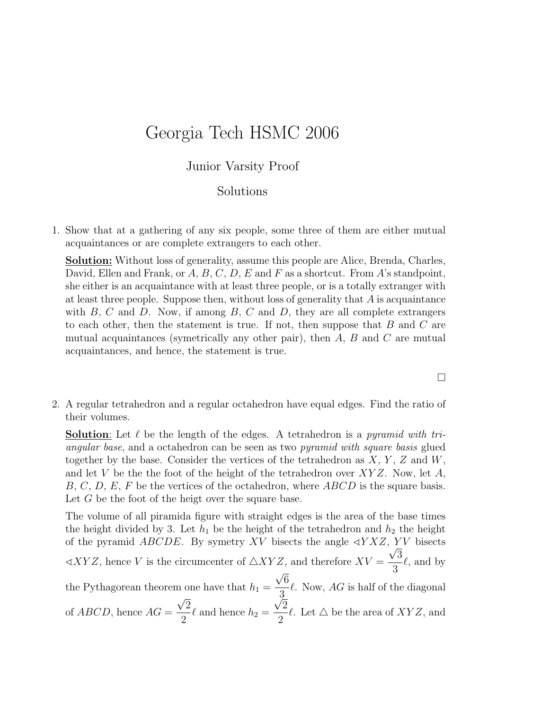## Georgia Tech HSMC 2006

## Junior Varsity Proof

## Solutions

1. Show that at a gathering of any six people, some three of them are either mutual acquaintances or are complete extrangers to each other.

Solution: Without loss of generality, assume this people are Alice, Brenda, Charles, David, Ellen and Frank, or  $A, B, C, D, E$  and F as a shortcut. From A's standpoint, she either is an acquaintance with at least three people, or is a totally extranger with at least three people. Suppose then, without loss of generality that  $A$  is acquaintance with  $B, C$  and  $D$ . Now, if among  $B, C$  and  $D$ , they are all complete extrangers to each other, then the statement is true. If not, then suppose that  $B$  and  $C$  are mutual acquaintances (symetrically any other pair), then  $A$ ,  $B$  and  $C$  are mutual acquaintances, and hence, the statement is true.

2. A regular tetrahedron and a regular octahedron have equal edges. Find the ratio of their volumes.

**Solution**: Let  $\ell$  be the length of the edges. A tetrahedron is a *pyramid with tri*angular base, and a octahedron can be seen as two pyramid with square basis glued together by the base. Consider the vertices of the tetrahedron as  $X, Y, Z$  and  $W$ , and let V be the the foot of the height of the tetrahedron over  $XYZ$ . Now, let A,  $B, C, D, E, F$  be the vertices of the octahedron, where  $ABCD$  is the square basis. Let  $G$  be the foot of the heigt over the square base.

The volume of all piramida figure with straight edges is the area of the base times the height divided by 3. Let  $h_1$  be the height of the tetrahedron and  $h_2$  the height of the pyramid *ABCDE*. By symetry XV bisects the angle  $\triangle Y XZ$ ,  $\frac{YV}{Z}$  bisects  $\triangle XYZ$ , hence V is the circumcenter of  $\triangle XYZ$ , and therefore  $XV = \frac{\sqrt{3}}{2}$ 3  $\ell$ , and by the Pythagorean theorem one have that  $h_1 =$ √ 6 3  $\ell$ . Now,  $AG$  is half of the diagonal of  $ABCD$ , hence  $AG =$ √ √ 2  $\frac{1}{2}$  and hence  $h_2 =$ 2 2  $\ell$ . Let  $\Delta$  be the area of  $XYZ$ , and

 $\Box$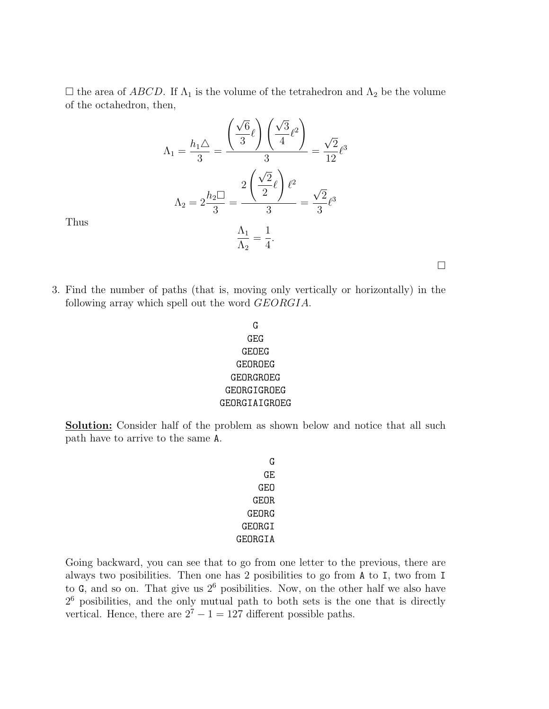$\Box$  the area of ABCD. If  $\Lambda_1$  is the volume of the tetrahedron and  $\Lambda_2$  be the volume of the octahedron, then,

$$
\Lambda_1 = \frac{h_1 \triangle}{3} = \frac{\left(\frac{\sqrt{6}}{3}\ell\right)\left(\frac{\sqrt{3}}{4}\ell^2\right)}{3} = \frac{\sqrt{2}}{12}\ell^3
$$

$$
\Lambda_2 = 2\frac{h_2 \square}{3} = \frac{2\left(\frac{\sqrt{2}}{2}\ell\right)\ell^2}{3} = \frac{\sqrt{2}}{3}\ell^3
$$

$$
\frac{\Lambda_1}{\Lambda_2} = \frac{1}{4}.
$$

Thus

- 3. Find the number of paths (that is, moving only vertically or horizontally) in the following array which spell out the word GEORGIA.
	- G GEG GEOEG GEOROEG GEORGROEG GEORGIGROEG GEORGIAIGROEG

**Solution:** Consider half of the problem as shown below and notice that all such path have to arrive to the same A.

> G GE GEO GEOR GEORG GEORGI GEORGIA

Going backward, you can see that to go from one letter to the previous, there are always two posibilities. Then one has 2 posibilities to go from A to I, two from I to  $G$ , and so on. That give us  $2<sup>6</sup>$  posibilities. Now, on the other half we also have 2 <sup>6</sup> posibilities, and the only mutual path to both sets is the one that is directly vertical. Hence, there are  $2^7 - 1 = 127$  different possible paths.

 $\Box$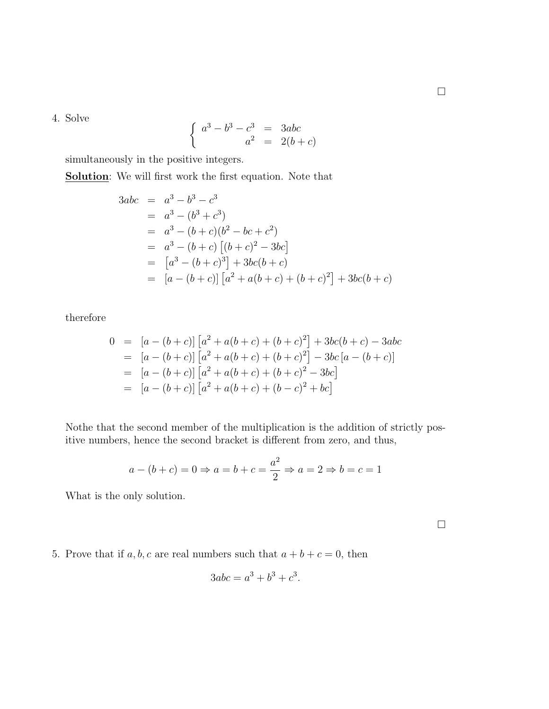4. Solve

$$
\begin{cases}\n a^3 - b^3 - c^3 = 3abc \\
a^2 = 2(b+c)\n\end{cases}
$$

simultaneously in the positive integers.

Solution: We will first work the first equation. Note that

$$
3abc = a3 - b3 - c3
$$
  
=  $a3 - (b3 + c3)$   
=  $a3 - (b + c)(b2 - bc + c2)$   
=  $a3 - (b + c) [(b + c)2 - 3bc]$   
=  $[a3 - (b + c)3] + 3bc(b + c)$   
=  $[a - (b + c)] [a2 + a(b + c) + (b + c)2] + 3bc(b + c)$ 

therefore

$$
0 = [a - (b + c)] [a2 + a(b + c) + (b + c)2] + 3bc(b + c) - 3abc
$$
  
\n
$$
= [a - (b + c)] [a2 + a(b + c) + (b + c)2] - 3bc [a - (b + c)]
$$
  
\n
$$
= [a - (b + c)] [a2 + a(b + c) + (b + c)2 - 3bc]
$$
  
\n
$$
= [a - (b + c)] [a2 + a(b + c) + (b - c)2 + bc]
$$

Nothe that the second member of the multiplication is the addition of strictly positive numbers, hence the second bracket is different from zero, and thus,

$$
a - (b + c) = 0 \Rightarrow a = b + c = \frac{a^2}{2} \Rightarrow a = 2 \Rightarrow b = c = 1
$$

What is the only solution.

 $\Box$ 

5. Prove that if  $a, b, c$  are real numbers such that  $a + b + c = 0$ , then

$$
3abc = a^3 + b^3 + c^3.
$$